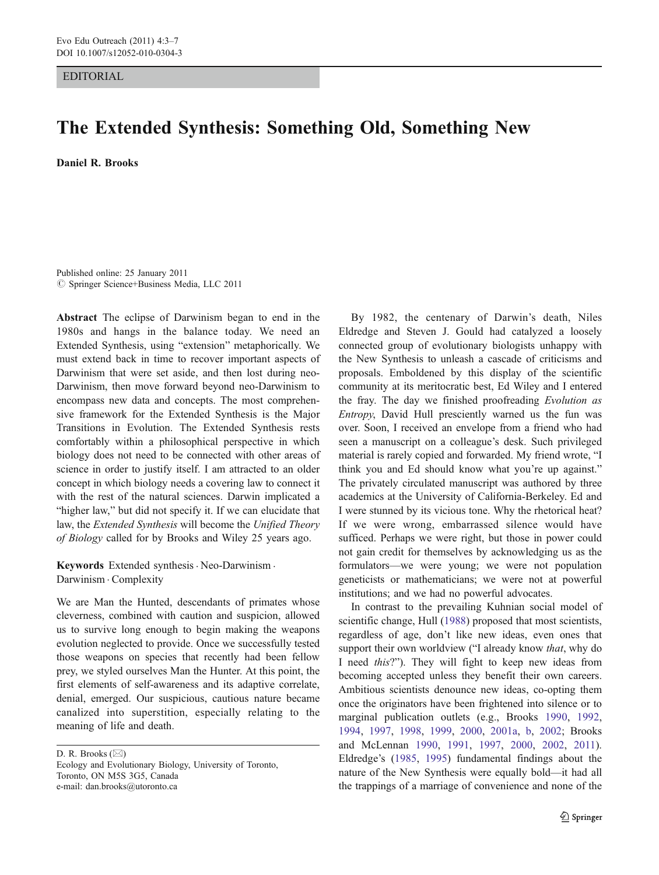EDITORIAL

# The Extended Synthesis: Something Old, Something New

Daniel R. Brooks

Published online: 25 January 2011  $©$  Springer Science+Business Media, LLC 2011

Abstract The eclipse of Darwinism began to end in the 1980s and hangs in the balance today. We need an Extended Synthesis, using "extension" metaphorically. We must extend back in time to recover important aspects of Darwinism that were set aside, and then lost during neo-Darwinism, then move forward beyond neo-Darwinism to encompass new data and concepts. The most comprehensive framework for the Extended Synthesis is the Major Transitions in Evolution. The Extended Synthesis rests comfortably within a philosophical perspective in which biology does not need to be connected with other areas of science in order to justify itself. I am attracted to an older concept in which biology needs a covering law to connect it with the rest of the natural sciences. Darwin implicated a "higher law," but did not specify it. If we can elucidate that law, the Extended Synthesis will become the Unified Theory of Biology called for by Brooks and Wiley 25 years ago.

Keywords Extended synthesis. Neo-Darwinism . Darwinism . Complexity

We are Man the Hunted, descendants of primates whose cleverness, combined with caution and suspicion, allowed us to survive long enough to begin making the weapons evolution neglected to provide. Once we successfully tested those weapons on species that recently had been fellow prey, we styled ourselves Man the Hunter. At this point, the first elements of self-awareness and its adaptive correlate, denial, emerged. Our suspicious, cautious nature became canalized into superstition, especially relating to the meaning of life and death.

D. R. Brooks  $(\boxtimes)$ 

Ecology and Evolutionary Biology, University of Toronto, Toronto, ON M5S 3G5, Canada e-mail: dan.brooks@utoronto.ca

By 1982, the centenary of Darwin's death, Niles Eldredge and Steven J. Gould had catalyzed a loosely connected group of evolutionary biologists unhappy with the New Synthesis to unleash a cascade of criticisms and proposals. Emboldened by this display of the scientific community at its meritocratic best, Ed Wiley and I entered the fray. The day we finished proofreading Evolution as Entropy, David Hull presciently warned us the fun was over. Soon, I received an envelope from a friend who had seen a manuscript on a colleague's desk. Such privileged material is rarely copied and forwarded. My friend wrote, "I think you and Ed should know what you're up against." The privately circulated manuscript was authored by three academics at the University of California-Berkeley. Ed and I were stunned by its vicious tone. Why the rhetorical heat? If we were wrong, embarrassed silence would have sufficed. Perhaps we were right, but those in power could not gain credit for themselves by acknowledging us as the formulators—we were young; we were not population geneticists or mathematicians; we were not at powerful institutions; and we had no powerful advocates.

In contrast to the prevailing Kuhnian social model of scientific change, Hull [\(1988](#page-4-0)) proposed that most scientists, regardless of age, don't like new ideas, even ones that support their own worldview ("I already know *that*, why do I need this?"). They will fight to keep new ideas from becoming accepted unless they benefit their own careers. Ambitious scientists denounce new ideas, co-opting them once the originators have been frightened into silence or to marginal publication outlets (e.g., Brooks [1990,](#page-4-0) [1992,](#page-4-0) [1994](#page-4-0), [1997,](#page-4-0) [1998](#page-4-0), [1999,](#page-4-0) [2000](#page-4-0), [2001a,](#page-4-0) [b](#page-4-0), [2002;](#page-4-0) Brooks and McLennan [1990,](#page-4-0) [1991](#page-4-0), [1997,](#page-4-0) [2000,](#page-4-0) [2002](#page-4-0), [2011\)](#page-4-0). Eldredge's ([1985,](#page-4-0) [1995](#page-4-0)) fundamental findings about the nature of the New Synthesis were equally bold—it had all the trappings of a marriage of convenience and none of the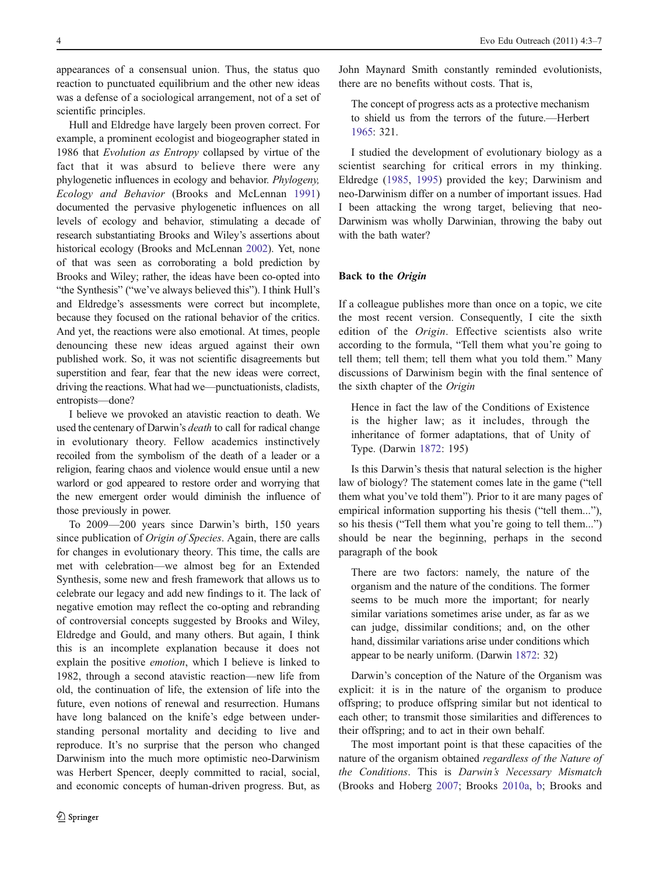appearances of a consensual union. Thus, the status quo reaction to punctuated equilibrium and the other new ideas was a defense of a sociological arrangement, not of a set of scientific principles.

Hull and Eldredge have largely been proven correct. For example, a prominent ecologist and biogeographer stated in 1986 that Evolution as Entropy collapsed by virtue of the fact that it was absurd to believe there were any phylogenetic influences in ecology and behavior. Phylogeny, Ecology and Behavior (Brooks and McLennan [1991\)](#page-4-0) documented the pervasive phylogenetic influences on all levels of ecology and behavior, stimulating a decade of research substantiating Brooks and Wiley's assertions about historical ecology (Brooks and McLennan [2002](#page-4-0)). Yet, none of that was seen as corroborating a bold prediction by Brooks and Wiley; rather, the ideas have been co-opted into "the Synthesis" ("we've always believed this"). I think Hull's and Eldredge's assessments were correct but incomplete, because they focused on the rational behavior of the critics. And yet, the reactions were also emotional. At times, people denouncing these new ideas argued against their own published work. So, it was not scientific disagreements but superstition and fear, fear that the new ideas were correct, driving the reactions. What had we—punctuationists, cladists, entropists—done?

I believe we provoked an atavistic reaction to death. We used the centenary of Darwin's *death* to call for radical change in evolutionary theory. Fellow academics instinctively recoiled from the symbolism of the death of a leader or a religion, fearing chaos and violence would ensue until a new warlord or god appeared to restore order and worrying that the new emergent order would diminish the influence of those previously in power.

To 2009—200 years since Darwin's birth, 150 years since publication of *Origin of Species*. Again, there are calls for changes in evolutionary theory. This time, the calls are met with celebration—we almost beg for an Extended Synthesis, some new and fresh framework that allows us to celebrate our legacy and add new findings to it. The lack of negative emotion may reflect the co-opting and rebranding of controversial concepts suggested by Brooks and Wiley, Eldredge and Gould, and many others. But again, I think this is an incomplete explanation because it does not explain the positive emotion, which I believe is linked to 1982, through a second atavistic reaction—new life from old, the continuation of life, the extension of life into the future, even notions of renewal and resurrection. Humans have long balanced on the knife's edge between understanding personal mortality and deciding to live and reproduce. It's no surprise that the person who changed Darwinism into the much more optimistic neo-Darwinism was Herbert Spencer, deeply committed to racial, social, and economic concepts of human-driven progress. But, as

John Maynard Smith constantly reminded evolutionists, there are no benefits without costs. That is,

The concept of progress acts as a protective mechanism to shield us from the terrors of the future.—Herbert [1965](#page-4-0): 321.

I studied the development of evolutionary biology as a scientist searching for critical errors in my thinking. Eldredge [\(1985](#page-4-0), [1995](#page-4-0)) provided the key; Darwinism and neo-Darwinism differ on a number of important issues. Had I been attacking the wrong target, believing that neo-Darwinism was wholly Darwinian, throwing the baby out with the bath water?

## Back to the Origin

If a colleague publishes more than once on a topic, we cite the most recent version. Consequently, I cite the sixth edition of the Origin. Effective scientists also write according to the formula, "Tell them what you're going to tell them; tell them; tell them what you told them." Many discussions of Darwinism begin with the final sentence of the sixth chapter of the Origin

Hence in fact the law of the Conditions of Existence is the higher law; as it includes, through the inheritance of former adaptations, that of Unity of Type. (Darwin [1872](#page-4-0): 195)

Is this Darwin's thesis that natural selection is the higher law of biology? The statement comes late in the game ("tell them what you've told them"). Prior to it are many pages of empirical information supporting his thesis ("tell them..."), so his thesis ("Tell them what you're going to tell them...") should be near the beginning, perhaps in the second paragraph of the book

There are two factors: namely, the nature of the organism and the nature of the conditions. The former seems to be much more the important; for nearly similar variations sometimes arise under, as far as we can judge, dissimilar conditions; and, on the other hand, dissimilar variations arise under conditions which appear to be nearly uniform. (Darwin [1872](#page-4-0): 32)

Darwin's conception of the Nature of the Organism was explicit: it is in the nature of the organism to produce offspring; to produce offspring similar but not identical to each other; to transmit those similarities and differences to their offspring; and to act in their own behalf.

The most important point is that these capacities of the nature of the organism obtained regardless of the Nature of the Conditions. This is Darwin's Necessary Mismatch (Brooks and Hoberg [2007](#page-4-0); Brooks [2010a,](#page-4-0) [b](#page-4-0); Brooks and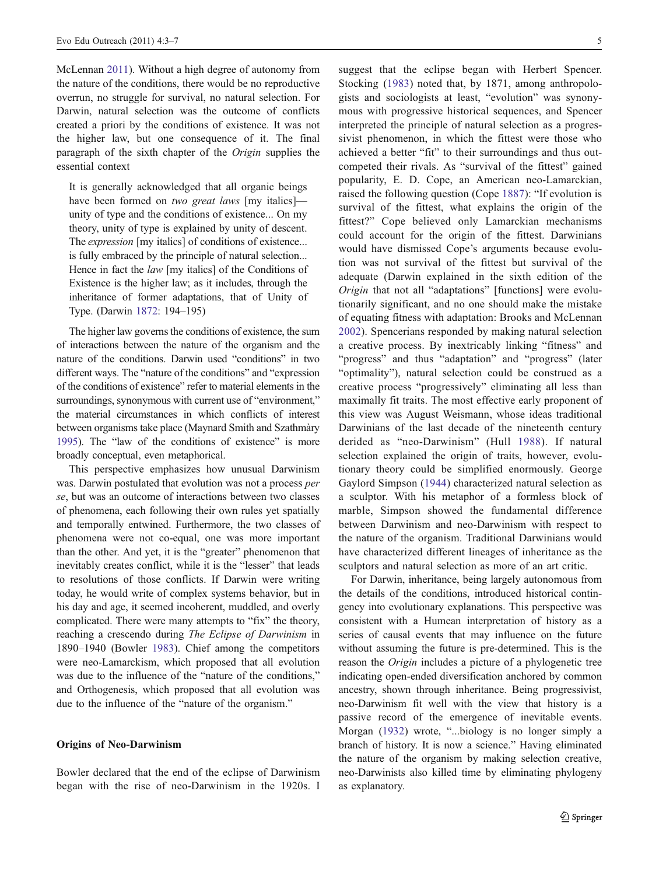McLennan [2011](#page-4-0)). Without a high degree of autonomy from the nature of the conditions, there would be no reproductive overrun, no struggle for survival, no natural selection. For Darwin, natural selection was the outcome of conflicts created a priori by the conditions of existence. It was not the higher law, but one consequence of it. The final paragraph of the sixth chapter of the Origin supplies the essential context

It is generally acknowledged that all organic beings have been formed on two great laws [my italics] unity of type and the conditions of existence... On my theory, unity of type is explained by unity of descent. The *expression* [my italics] of conditions of existence... is fully embraced by the principle of natural selection... Hence in fact the *law* [my italics] of the Conditions of Existence is the higher law; as it includes, through the inheritance of former adaptations, that of Unity of Type. (Darwin [1872](#page-4-0): 194–195)

The higher law governs the conditions of existence, the sum of interactions between the nature of the organism and the nature of the conditions. Darwin used "conditions" in two different ways. The "nature of the conditions" and "expression of the conditions of existence" refer to material elements in the surroundings, synonymous with current use of "environment," the material circumstances in which conflicts of interest between organisms take place (Maynard Smith and Szathmàry [1995](#page-4-0)). The "law of the conditions of existence" is more broadly conceptual, even metaphorical.

This perspective emphasizes how unusual Darwinism was. Darwin postulated that evolution was not a process per se, but was an outcome of interactions between two classes of phenomena, each following their own rules yet spatially and temporally entwined. Furthermore, the two classes of phenomena were not co-equal, one was more important than the other. And yet, it is the "greater" phenomenon that inevitably creates conflict, while it is the "lesser" that leads to resolutions of those conflicts. If Darwin were writing today, he would write of complex systems behavior, but in his day and age, it seemed incoherent, muddled, and overly complicated. There were many attempts to "fix" the theory, reaching a crescendo during The Eclipse of Darwinism in 1890–1940 (Bowler [1983](#page-4-0)). Chief among the competitors were neo-Lamarckism, which proposed that all evolution was due to the influence of the "nature of the conditions," and Orthogenesis, which proposed that all evolution was due to the influence of the "nature of the organism."

# Origins of Neo-Darwinism

Bowler declared that the end of the eclipse of Darwinism began with the rise of neo-Darwinism in the 1920s. I suggest that the eclipse began with Herbert Spencer. Stocking ([1983](#page-4-0)) noted that, by 1871, among anthropologists and sociologists at least, "evolution" was synonymous with progressive historical sequences, and Spencer interpreted the principle of natural selection as a progressivist phenomenon, in which the fittest were those who achieved a better "fit" to their surroundings and thus outcompeted their rivals. As "survival of the fittest" gained popularity, E. D. Cope, an American neo-Lamarckian, raised the following question (Cope [1887](#page-4-0)): "If evolution is survival of the fittest, what explains the origin of the fittest?" Cope believed only Lamarckian mechanisms could account for the origin of the fittest. Darwinians would have dismissed Cope's arguments because evolution was not survival of the fittest but survival of the adequate (Darwin explained in the sixth edition of the Origin that not all "adaptations" [functions] were evolutionarily significant, and no one should make the mistake of equating fitness with adaptation: Brooks and McLennan [2002](#page-4-0)). Spencerians responded by making natural selection a creative process. By inextricably linking "fitness" and "progress" and thus "adaptation" and "progress" (later "optimality"), natural selection could be construed as a creative process "progressively" eliminating all less than maximally fit traits. The most effective early proponent of this view was August Weismann, whose ideas traditional Darwinians of the last decade of the nineteenth century derided as "neo-Darwinism" (Hull [1988](#page-4-0)). If natural selection explained the origin of traits, however, evolutionary theory could be simplified enormously. George Gaylord Simpson ([1944\)](#page-4-0) characterized natural selection as a sculptor. With his metaphor of a formless block of marble, Simpson showed the fundamental difference between Darwinism and neo-Darwinism with respect to the nature of the organism. Traditional Darwinians would have characterized different lineages of inheritance as the sculptors and natural selection as more of an art critic.

For Darwin, inheritance, being largely autonomous from the details of the conditions, introduced historical contingency into evolutionary explanations. This perspective was consistent with a Humean interpretation of history as a series of causal events that may influence on the future without assuming the future is pre-determined. This is the reason the Origin includes a picture of a phylogenetic tree indicating open-ended diversification anchored by common ancestry, shown through inheritance. Being progressivist, neo-Darwinism fit well with the view that history is a passive record of the emergence of inevitable events. Morgan ([1932\)](#page-4-0) wrote, "...biology is no longer simply a branch of history. It is now a science." Having eliminated the nature of the organism by making selection creative, neo-Darwinists also killed time by eliminating phylogeny as explanatory.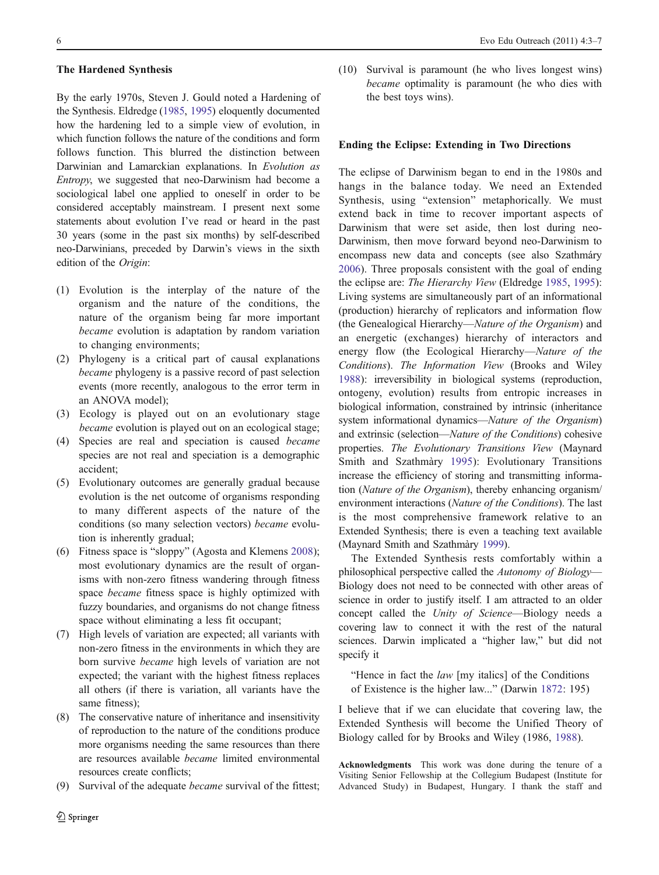#### The Hardened Synthesis

By the early 1970s, Steven J. Gould noted a Hardening of the Synthesis. Eldredge [\(1985,](#page-4-0) [1995\)](#page-4-0) eloquently documented how the hardening led to a simple view of evolution, in which function follows the nature of the conditions and form follows function. This blurred the distinction between Darwinian and Lamarckian explanations. In Evolution as Entropy, we suggested that neo-Darwinism had become a sociological label one applied to oneself in order to be considered acceptably mainstream. I present next some statements about evolution I've read or heard in the past 30 years (some in the past six months) by self-described neo-Darwinians, preceded by Darwin's views in the sixth edition of the Origin:

- (1) Evolution is the interplay of the nature of the organism and the nature of the conditions, the nature of the organism being far more important became evolution is adaptation by random variation to changing environments;
- (2) Phylogeny is a critical part of causal explanations became phylogeny is a passive record of past selection events (more recently, analogous to the error term in an ANOVA model);
- (3) Ecology is played out on an evolutionary stage became evolution is played out on an ecological stage;
- (4) Species are real and speciation is caused became species are not real and speciation is a demographic accident;
- (5) Evolutionary outcomes are generally gradual because evolution is the net outcome of organisms responding to many different aspects of the nature of the conditions (so many selection vectors) became evolution is inherently gradual;
- (6) Fitness space is "sloppy" (Agosta and Klemens [2008](#page-4-0)); most evolutionary dynamics are the result of organisms with non-zero fitness wandering through fitness space became fitness space is highly optimized with fuzzy boundaries, and organisms do not change fitness space without eliminating a less fit occupant;
- (7) High levels of variation are expected; all variants with non-zero fitness in the environments in which they are born survive became high levels of variation are not expected; the variant with the highest fitness replaces all others (if there is variation, all variants have the same fitness);
- (8) The conservative nature of inheritance and insensitivity of reproduction to the nature of the conditions produce more organisms needing the same resources than there are resources available became limited environmental resources create conflicts;
- (9) Survival of the adequate became survival of the fittest;

(10) Survival is paramount (he who lives longest wins) became optimality is paramount (he who dies with the best toys wins).

### Ending the Eclipse: Extending in Two Directions

The eclipse of Darwinism began to end in the 1980s and hangs in the balance today. We need an Extended Synthesis, using "extension" metaphorically. We must extend back in time to recover important aspects of Darwinism that were set aside, then lost during neo-Darwinism, then move forward beyond neo-Darwinism to encompass new data and concepts (see also Szathmáry [2006](#page-4-0)). Three proposals consistent with the goal of ending the eclipse are: The Hierarchy View (Eldredge [1985](#page-4-0), [1995](#page-4-0)): Living systems are simultaneously part of an informational (production) hierarchy of replicators and information flow (the Genealogical Hierarchy—Nature of the Organism) and an energetic (exchanges) hierarchy of interactors and energy flow (the Ecological Hierarchy—Nature of the Conditions). The Information View (Brooks and Wiley [1988](#page-4-0)): irreversibility in biological systems (reproduction, ontogeny, evolution) results from entropic increases in biological information, constrained by intrinsic (inheritance system informational dynamics—Nature of the Organism) and extrinsic (selection—Nature of the Conditions) cohesive properties. The Evolutionary Transitions View (Maynard Smith and Szathmàry [1995\)](#page-4-0): Evolutionary Transitions increase the efficiency of storing and transmitting information (Nature of the Organism), thereby enhancing organism/ environment interactions (Nature of the Conditions). The last is the most comprehensive framework relative to an Extended Synthesis; there is even a teaching text available (Maynard Smith and Szathmàry [1999\)](#page-4-0).

The Extended Synthesis rests comfortably within a philosophical perspective called the Autonomy of Biology— Biology does not need to be connected with other areas of science in order to justify itself. I am attracted to an older concept called the Unity of Science—Biology needs a covering law to connect it with the rest of the natural sciences. Darwin implicated a "higher law," but did not specify it

"Hence in fact the *law* [my italics] of the Conditions of Existence is the higher law..." (Darwin [1872:](#page-4-0) 195)

I believe that if we can elucidate that covering law, the Extended Synthesis will become the Unified Theory of Biology called for by Brooks and Wiley (1986, [1988\)](#page-4-0).

Acknowledgments This work was done during the tenure of a Visiting Senior Fellowship at the Collegium Budapest (Institute for Advanced Study) in Budapest, Hungary. I thank the staff and